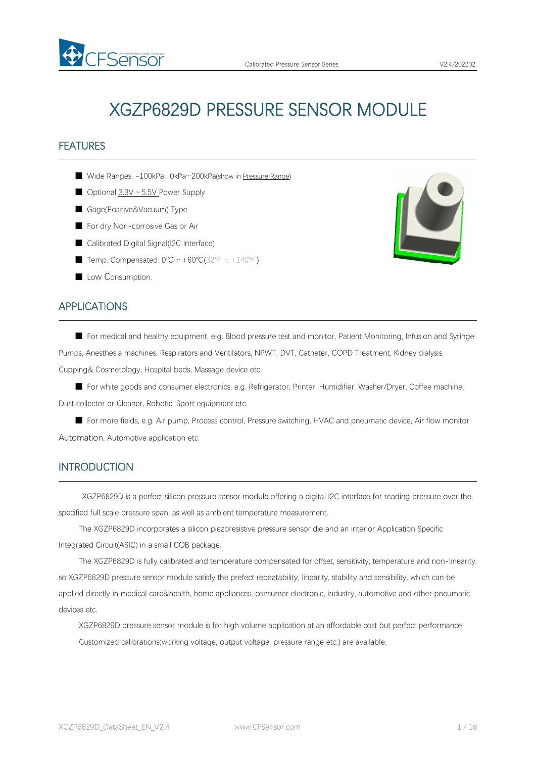# XGZP6829D PRESSURE SENSOR MODULE

# **FEATURES**

- Wide Ranges: -100kPa…0kPa…200kPa(show in [Pressure](#page-4-0) Range)
- Optional 3.3V ~ 5.5V Power Supply
- Gage(Positive&Vacuum) Type

FSensor

- For dry Non-corrosive Gas or Air
- Calibrated Digital Signal(I2C Interface)
- Temp. Compensated: 0°C ~ +60°C(32°F ~ +140°F)
- Low Consumption.

# APPLICATIONS

■ For medical and healthy equipment, e.g. Blood pressure test and monitor, Patient Monitoring, Infusion and Syringe Pumps, Anesthesia machines, Respirators and Ventilators, NPWT, DVT, Catheter, COPD Treatment, Kidney dialysis, Cupping& Cosmetology, Hospital beds, Massage device etc.

■ For white goods and consumer electronics, e.g. Refrigerator, Printer, Humidifier, Washer/Dryer, Coffee machine, Dust collector or Cleaner, Robotic, Sport equipment etc.

■ For more fields, e.g. Air pump, Process control, Pressure switching, HVAC and pneumatic device, Air flow monitor, Automation, Automotive application etc.

## INTRODUCTION

XGZP6829D is a perfect silicon pressure sensor module offering a digital I2C interface for reading pressure over the specified full scale pressure span, as well as ambient temperature measurement.

The XGZP6829D incorporates a silicon piezoresistive pressure sensor die and an interior Application Specific Integrated Circuit(ASIC) in a small COB package.

The XGZP6829D is fully calibrated and temperature compensated for offset, sensitivity, temperature and non-linearity, so XGZP6829D pressure sensor module satisfy the prefect repeatability, linearity, stability and sensibility, which can be applied directly in medical care&health, home appliances, consumer electronic, industry, automotive and other pneumatic devices etc.

XGZP6829D pressure sensor module is for high volume application at an affordable cost but perfect performance. Customized calibrations(working voltage, output voltage, pressure range etc.) are available.

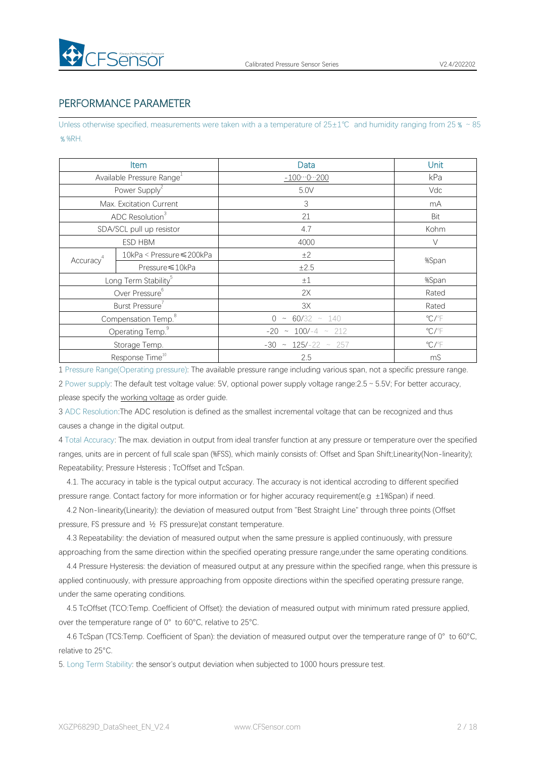

# PERFORMANCE PARAMETER

Unless otherwise specified, measurements were taken with a a temperature of 25±1℃ and humidity ranging from 25 % ~85 ﹪%RH.

|                                  | Item                                  | Data                        | Unit                       |  |
|----------------------------------|---------------------------------------|-----------------------------|----------------------------|--|
|                                  | Available Pressure Range <sup>1</sup> | $-1000200$                  | kPa                        |  |
|                                  | Power Supply <sup>2</sup>             | 5.0V                        | Vdc                        |  |
|                                  | Max. Excitation Current               | $\ensuremath{\mathsf{3}}$   | mA                         |  |
|                                  | ADC Resolution <sup>3</sup>           | 21                          | Bit                        |  |
| SDA/SCL pull up resistor         |                                       | 4.7                         | Kohm                       |  |
|                                  | ESD HBM                               | 4000                        | $\vee$                     |  |
| Accuracy <sup>4</sup>            | 10kPa < Pressure ≤ 200kPa             | ±2                          | %Span                      |  |
|                                  | Pressure ≤ 10kPa                      | ±2.5                        |                            |  |
| Long Term Stability <sup>5</sup> |                                       | ±1                          | %Span                      |  |
| Over Pressure <sup>6</sup>       |                                       | 2X                          | Rated                      |  |
| Burst Pressure                   |                                       | 3X                          | Rated                      |  |
| Compensation Temp. <sup>8</sup>  |                                       | $0 \sim 60/32 \sim 140$     | $^{\circ}$ C/ $^{\circ}$ F |  |
| Operating Temp. <sup>9</sup>     |                                       | $-20 \sim 100/-4 \sim 212$  | $\mathrm{C}/\mathrm{F}$    |  |
|                                  | Storage Temp.                         | $-30 \sim 125/-22 \sim 257$ | $^{\circ}$ C/ $^{\circ}$ F |  |
|                                  | Response Time <sup>10</sup>           | 2.5                         | mS                         |  |

1 Pressure Range(Operating pressure): The available pressure range including variousspan, not a specific pressure range. 2 Power supply: The default test voltage value: 5V, optional power supply voltage range:2.5~5.5V; For better accuracy, please specify the [working](#page-4-1) voltage as order guide.

3 ADC Resolution:The ADC resolution is defined as the smallest incremental voltage that can be recognized and thus causes a change in the digital output.

4 Total Accuracy: The max. deviation in output from ideal transfer function at any pressure or temperature over the specified ranges, units are in percent of full scale span (%FSS), which mainly consists of: Offset and Span Shift;Linearity(Non-linearity); Repeatability; Pressure Hsteresis ; TcOffset and TcSpan.

4.1. The accuracy in table is the typical output accuracy. The accuracy is notidentical accroding to different specified pressure range. Contact factory for more information or for higher accuracy requirement(e.g ±1%Span) if need.

4.2 Non-linearity(Linearity): the deviation of measured output from "Best Straight Line" through three points (Offset pressure, FS pressure and ½ FS pressure)at constant temperature.

4.3 Repeatability: the deviation of measured output when the same pressure is applied continuously, with pressure approaching from the same direction within the specified operating pressure range,under the same operating conditions.

4.4 Pressure Hysteresis: the deviation of measured output at any pressure within the specified range, when this pressure is applied continuously, with pressure approaching from opposite directions within the specified operating pressure range, under the same operating conditions.

4.5 TcOffset (TCO:Temp. Coefficient of Offset): the deviation of measured output with minimum rated pressure applied, over the temperature range of 0° to 60°C, relative to 25°C.

4.6 TcSpan (TCS:Temp. Coefficient of Span): the deviation of measured output over the temperature range of 0° to 60°C, relative to 25°C.

5. Long Term Stability: the sensor's output deviation when subjected to 1000 hours pressure test.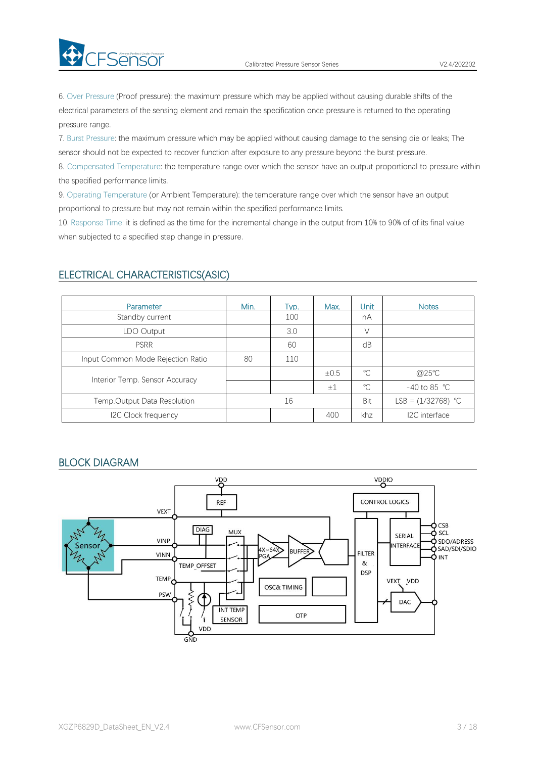6. Over Pressure (Proof pressure): the maximum pressure which may be applied without causing durable shifts of the electrical parameters of the sensing element and remain the specification once pressure is returned to the operating pressure range.

7. Burst Pressure: the maximum pressure which may be applied without causing damage to the sensing die or leaks; The sensor should not be expected to recover function after exposure to any pressure beyond the burst pressure.

8. Compensated Temperature: the temperature range over which the sensor have an output proportional to pressure within the specified performance limits.

9. Operating Temperature (or Ambient Temperature): the temperature range over which the sensor have an output proportional to pressure but may not remain within the specified performance limits.

10. Response Time: it is defined as the time for the incremental change in the output from 10% to 90% of of its final value when subjected to a specified step change in pressure.

| Parameter                         | Min. | Tvp. | Max. | Unit l       | <b>Notes</b>           |
|-----------------------------------|------|------|------|--------------|------------------------|
| Standby current                   |      | 100  |      | nA           |                        |
| LDO Output                        |      | 3.0  |      | $\setminus$  |                        |
| <b>PSRR</b>                       |      | 60   |      | dB           |                        |
| Input Common Mode Rejection Ratio | 80   | 110  |      |              |                        |
|                                   |      |      | ±0.5 | $^{\circ}C$  | @25°C                  |
| Interior Temp. Sensor Accuracy    |      |      | ±1   | $\mathrm{C}$ | -40 to 85 $^{\circ}$ C |
| Temp.Output Data Resolution       |      | 16   |      | Bit          | LSB = $(1/32768)$ °C   |
| I2C Clock frequency               |      |      | 400  | khz          | I2C interface          |

### ELECTRICAL CHARACTERISTICS(ASIC)

**Ex** CFSensor

#### BLOCK DIAGRAM

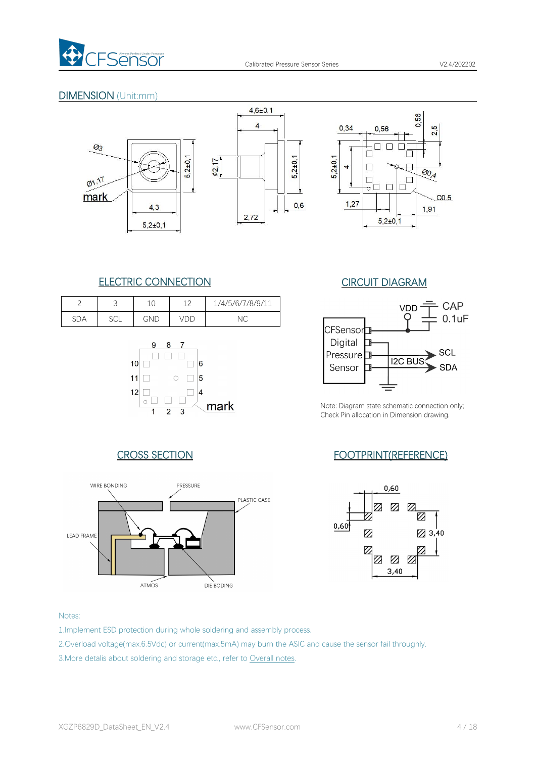

# DIMENSION (Unit:mm)





# ELECTRIC CONNECTION CIRCUIT DIAGRAM

|            | ◡             | ◡   | 1 <sub>0</sub> | 1/4/5/6/7/8/9/11 |
|------------|---------------|-----|----------------|------------------|
| ∩∩.<br>SDA | $\sim$<br>ししに | GND |                | ヽし               |







Note: Diagram state schematic connection only; Check Pin allocation in Dimension drawing.

# CROSS SECTION FOOTPRINT(REFERENCE)



#### Notes:

- 1.Implement ESD protection during whole soldering and assembly process.
- 2.Overload voltage(max.6.5Vdc) or current(max.5mA) may burn the ASIC and cause the sensor fail throughly.
- 3.More detalis about soldering and storage etc., refer to [Overall](#page-8-0) notes.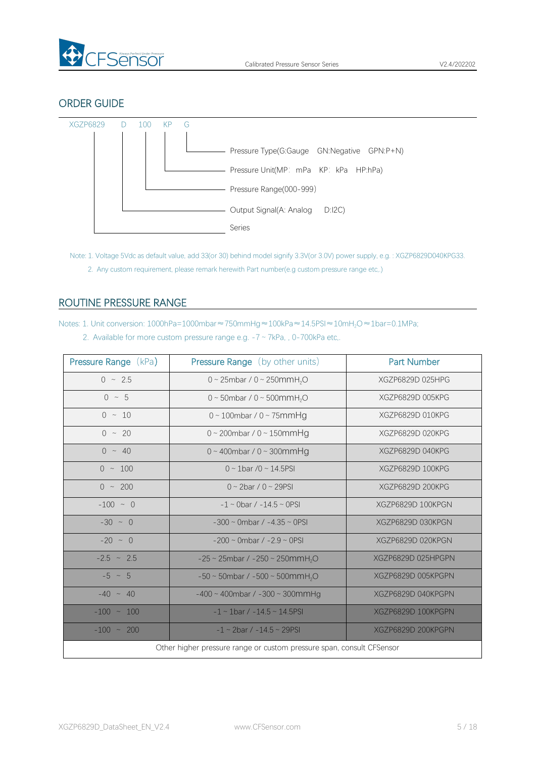

# ORDER GUIDE



<span id="page-4-1"></span>Note: 1. Voltage 5Vdc as default value, add 33(or 30) behind model signify 3.3V(or 3.0V) power supply, e.g. : XGZP6829D040KPG33. 2. Any custom requirement, please remark herewith Part number(e.g custom pressure range etc,.)

# <span id="page-4-0"></span>ROUTINE PRESSURE RANGE

Notes: 1. Unit conversion: 1000hPa=1000mbar≈750mmHg≈100kPa≈14.5PSI≈10mH<sub>2</sub>O≈1bar=0.1MPa;

| 2. Available for more custom pressure range e.g. $-7 \sim 7kPa$ , , 0-700kPa etc. |  |
|-----------------------------------------------------------------------------------|--|
|-----------------------------------------------------------------------------------|--|

| <b>Pressure Range (kPa)</b>                                           | Pressure Range (by other units)                         | <b>Part Number</b> |  |  |  |  |
|-----------------------------------------------------------------------|---------------------------------------------------------|--------------------|--|--|--|--|
| $0 \sim 2.5$                                                          | 0 ~ 25mbar / 0 ~ 250mmH <sub>2</sub> O                  | XGZP6829D 025HPG   |  |  |  |  |
| $0 \sim 5$                                                            | 0 ~ 50mbar / 0 ~ 500mmH <sub>2</sub> O                  | XGZP6829D 005KPG   |  |  |  |  |
| $0 \sim 10$                                                           | $0 \sim 100$ mbar / $0 \sim 75$ mmHg                    | XGZP6829D 010KPG   |  |  |  |  |
| $0 \sim 20$                                                           | $0 \sim 200$ mbar / $0 \sim 150$ mmHg                   | XGZP6829D 020KPG   |  |  |  |  |
| $0 \sim 40$                                                           | $0 \sim 400$ mbar / $0 \sim 300$ mmHg                   | XGZP6829D 040KPG   |  |  |  |  |
| $0 \sim 100$                                                          | $0 \sim 1$ bar /0 ~ 14.5PSI                             | XGZP6829D 100KPG   |  |  |  |  |
| $0 \sim 200$                                                          | $0 \sim 2$ bar / $0 \sim 29$ PSI                        | XGZP6829D 200KPG   |  |  |  |  |
| $-100 - 0$                                                            | $-1 \sim$ 0bar / $-14.5 \sim$ 0PSI                      | XGZP6829D 100KPGN  |  |  |  |  |
| $-30 \sim 0$                                                          | $-300 \sim$ 0mbar / $-4.35 \sim$ 0PSI                   | XGZP6829D 030KPGN  |  |  |  |  |
| $-20 \sim 0$                                                          | $-200 \sim$ 0mbar / $-2.9 \sim$ 0PSI                    | XGZP6829D 020KPGN  |  |  |  |  |
| $-2.5 \sim 2.5$                                                       | $-25 \sim 25$ mbar / $-250 \sim 250$ mmH <sub>2</sub> O | XGZP6829D 025HPGPN |  |  |  |  |
| $-5 \sim 5$                                                           | $-50 \sim 50$ mbar / $-500 \sim 500$ mmH <sub>2</sub> O | XGZP6829D 005KPGPN |  |  |  |  |
| $-40 \sim 40$                                                         | $-400 \sim 400$ mbar / $-300 \sim 300$ mmHg             | XGZP6829D 040KPGPN |  |  |  |  |
| $-100 \sim 100$                                                       | $-1 \sim 1$ bar / $-14.5 \sim 14.5$ PSI                 | XGZP6829D 100KPGPN |  |  |  |  |
| $-100 \sim 200$                                                       | $-1 \sim 2$ bar / $-14.5 \sim 29$ PSI                   | XGZP6829D 200KPGPN |  |  |  |  |
| Other higher pressure range or custom pressure span, consult CFSensor |                                                         |                    |  |  |  |  |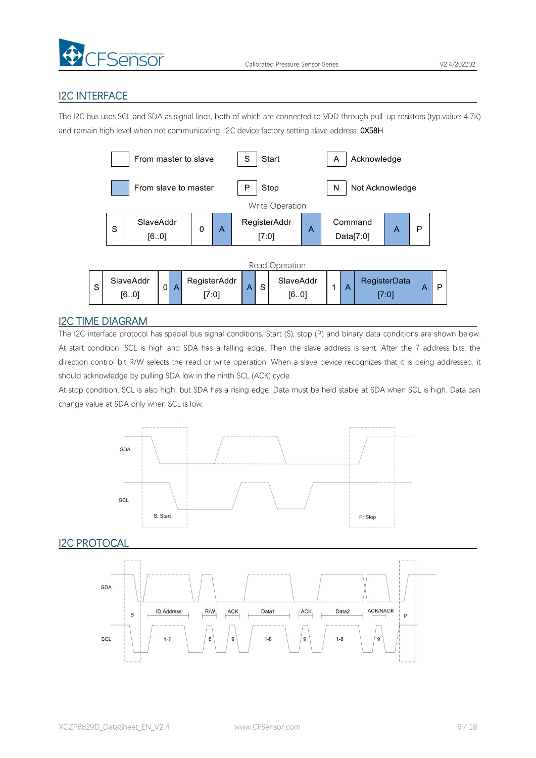

# I2C INTERFACE

The I2C bus uses SCL and SDA as signal lines, both of which are connected to VDD through pull-up resistors (typ.value: 4.7K) and remain high level when not communicating. I2C device factory setting slave address: 0X58H



### I2C TIME DIAGRAM

The I2C interface protocol has special bus signal conditions. Start (S), stop (P) and binary data conditions are shown below. At start condition, SCL is high and SDA has a falling edge. Then the slave address is sent. After the 7 address bits, the direction control bit R/W selects the read or write operation. When a slave device recognizes that it is being addressed, it should acknowledge by pulling SDA low in the ninth SCL (ACK) cycle.

At stop condition, SCL is also high, but SDA has a rising edge. Data must be held stable at SDA when SCL is high. Data can change value at SDA only when SCL is low.



**I2C PROTOCAL** 

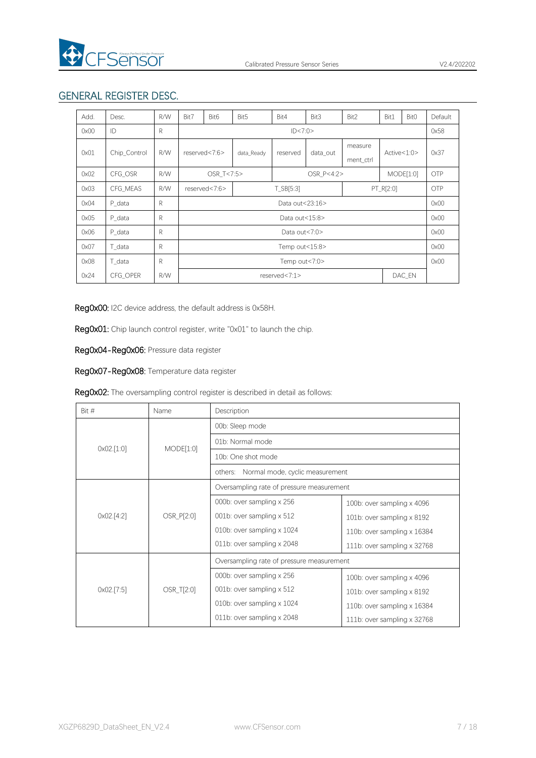

# GENERAL REGISTER DESC.

| Add. | Desc.        | R/W | Bit7                        | Bit <sub>6</sub>           | Bit5                     | Bit4     | Bit3                 | Bit2          | Bit1      | Bit <sub>0</sub> | Default    |
|------|--------------|-----|-----------------------------|----------------------------|--------------------------|----------|----------------------|---------------|-----------|------------------|------------|
| 0x00 | ID           | R   |                             | ID < 7:0>                  |                          |          |                      |               |           | 0x58             |            |
| 0x01 | Chip_Control | R/W | reserved<7:6><br>data Ready |                            | reserved                 | data_out | measure<br>ment_ctrl | Active < 1:0> |           | 0x37             |            |
| 0x02 | CFG OSR      | R/W |                             |                            | OSR T<7:5><br>OSR P<4:2> |          |                      | MODE[1:0]     |           | <b>OTP</b>       |            |
| 0x03 | CFG MEAS     | R/W |                             | T_SB[5:3]<br>reserved<7:6> |                          |          |                      |               | PT_R[2:0] |                  | <b>OTP</b> |
| 0x04 | P data       | R   |                             | Data out<23:16>            |                          |          |                      |               |           | 0x00             |            |
| 0x05 | P data       | R   |                             | Data out<15:8>             |                          |          |                      |               |           | 0x00             |            |
| 0x06 | P data       | R   |                             | Data out<7:0>              |                          |          |                      |               |           | 0x00             |            |
| 0x07 | T data       | R   |                             | Temp out<15:8>             |                          |          |                      |               |           | 0x00             |            |
| 0x08 | T data       | R   |                             | Temp out<7:0>              |                          |          |                      |               |           | 0x00             |            |
| 0x24 | CFG OPER     | R/W |                             | reserved<7:1><br>DAC_EN    |                          |          |                      |               |           |                  |            |

Reg0x00: I2C device address, the default address is 0x58H.

Reg0x01: Chip launch control register, write "0x01" to launch the chip.

Reg0x04-Reg0x06: Pressure data register

Reg0x07-Reg0x08: Temperature data register

| Bit #                 | Name       | Description                                |                                   |  |  |  |
|-----------------------|------------|--------------------------------------------|-----------------------------------|--|--|--|
|                       |            | 00b: Sleep mode                            |                                   |  |  |  |
| $0 \times 02$ . [1:0] | MODE[1:0]  | 01b: Normal mode                           |                                   |  |  |  |
|                       |            | 10b: One shot mode                         |                                   |  |  |  |
|                       |            | Normal mode, cyclic measurement<br>others: |                                   |  |  |  |
|                       |            | Oversampling rate of pressure measurement  |                                   |  |  |  |
|                       | OSR_P[2:0] | 000b: over sampling x 256                  | 100b: over sampling $\times$ 4096 |  |  |  |
| 0x02.[4:2]            |            | 001b: over sampling x 512                  | 101b: over sampling $\times$ 8192 |  |  |  |
|                       |            | 010b: over sampling x 1024                 | 110b: over sampling x 16384       |  |  |  |
|                       |            | 011b: over sampling x 2048                 | 111b: over sampling x 32768       |  |  |  |
|                       |            | Oversampling rate of pressure measurement  |                                   |  |  |  |
|                       | OSR_T[2:0] | 000b: over sampling x 256                  | 100b: over sampling $\times$ 4096 |  |  |  |
| 0x02.[7:5]            |            | 001b: over sampling x 512                  | 101b: over sampling x 8192        |  |  |  |
|                       |            | 010b: over sampling $\times$ 1024          | 110b: over sampling x 16384       |  |  |  |
|                       |            | 011b: over sampling x 2048                 | 111b: over sampling x 32768       |  |  |  |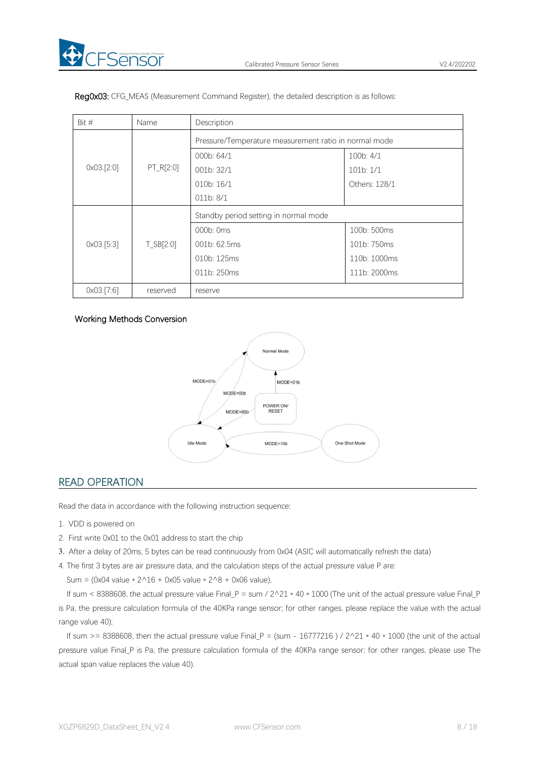| Bit #<br>Name         |                 | Description                                           |               |  |  |  |
|-----------------------|-----------------|-------------------------------------------------------|---------------|--|--|--|
| $0 \times 03$ . [2:0] | PT_R[2:0]       | Pressure/Temperature measurement ratio in normal mode |               |  |  |  |
|                       |                 | 000b: 64/1                                            | 100b: 4/1     |  |  |  |
|                       |                 | 001b: 32/1                                            | 101b:1/1      |  |  |  |
|                       |                 | 010 <sub>b</sub> : 16/1                               | Others: 128/1 |  |  |  |
|                       |                 | 011b: 8/1                                             |               |  |  |  |
| $0 \times 03$ . [5:3] | $T$ _SB $[2:0]$ | Standby period setting in normal mode                 |               |  |  |  |
|                       |                 | 000b: 0ms                                             | 100b: 500ms   |  |  |  |
|                       |                 | 001b: 62.5ms                                          | 101b: 750ms   |  |  |  |
|                       |                 | 010b: 125ms                                           | 110b: 1000ms  |  |  |  |
|                       |                 | 011b: 250ms                                           | 111b: 2000ms  |  |  |  |
| 0x03.[7:6]            | reserved        | reserve                                               |               |  |  |  |

Reg0x03: CFG\_MEAS (Measurement Command Register), the detailed description is as follows:

#### Working Methods Conversion



# READ OPERATION

Read the data in accordance with the following instruction sequence:

- 1. VDD is powered on
- 2. First write 0x01 to the 0x01 address to start the chip
- 3. After a delay of 20ms, 5 bytescan be read continuously from 0x04 (ASIC will automatically refresh the data)
- 4. The first 3 bytes are air pressure data, and the calculation steps of the actual pressure value P are:

Sum = (0x04 value  $* 2^16 + 0x05$  value  $* 2^8 + 0x06$  value),

If sum < 8388608, the actual pressure value Final\_P = sum /  $2^2$ 1  $*$  40  $*$  1000 (The unit of the actual pressure value Final\_P is Pa, the pressure calculation formula of the 40KPa range sensor; for other ranges, please replace the value with the actual range value 40);

If sum >= 8388608, then the actual pressure value Final P = (sum - 16777216 ) /  $2^2$  + 40  $*$  1000 (the unit of the actual pressure value Final\_P is Pa, the pressure calculation formula of the 40KPa range sensor; for other ranges, please use The actual span value replaces the value 40).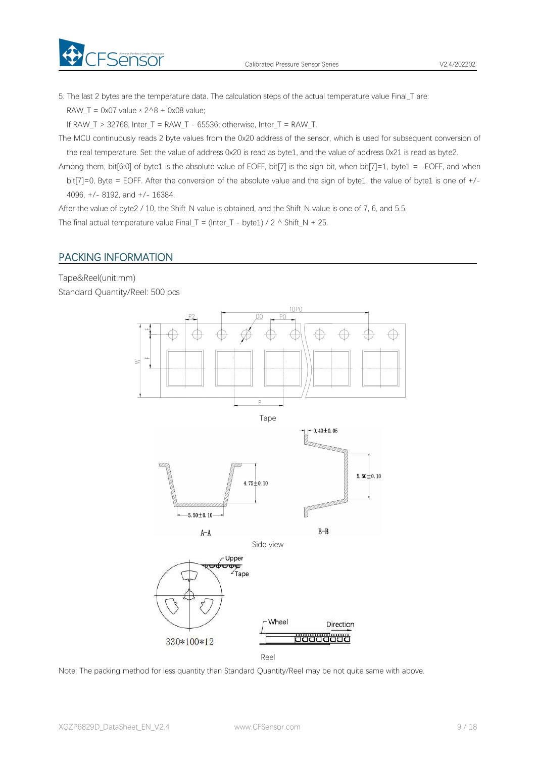

5. The last 2 bytes are the temperature data. The calculation steps of the actual temperature value Final\_T are: RAW\_T = 0x07 value  $*$  2^8 + 0x08 value;

If RAW T > 32768, Inter T = RAW T - 65536; otherwise, Inter T = RAW T.

The MCU continuously reads 2 byte values from the 0x20 address of the sensor, which is used for subsequent conversion of the real temperature. Set: the value of address 0x20 is read as byte1, and the value of address 0x21 is read as byte2.

Among them, bit[6:0] of byte1 is the absolute value of EOFF, bit[7] is the sign bit, when bit[7]=1, byte1 = -EOFF, and when bit[7]=0, Byte = EOFF. After the conversion of the absolute value and the sign of byte1, the value of byte1 is one of +/- 4096, +/- 8192, and +/- 16384.

After the value of byte2 / 10, the Shift\_N value is obtained, and the Shift\_N value is one of 7, 6, and 5.5.

<span id="page-8-0"></span>The final actual temperature value Final\_T = (Inter\_T - byte1) / 2  $\land$  Shift\_N + 25.

# PACKING INFORMATION

FSensor

Tape&Reel(unit:mm) Standard Quantity/Reel: 500 pcs



Note: The packing method for less quantity than Standard Quantity/Reel may be not quite same with above.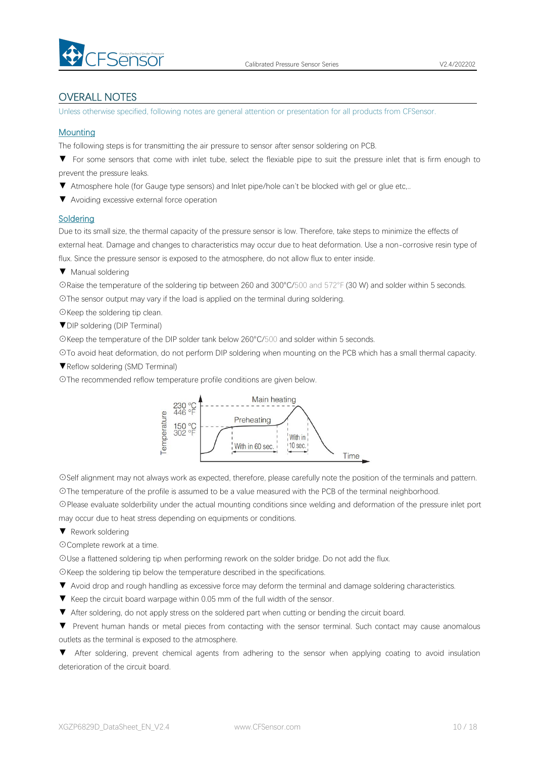

# OVERALL NOTES

Unless otherwise specified, following notes are general attention or presentation for all products from CFSensor.

#### **Mounting**

The following steps is for transmitting the air pressure to sensor after sensor soldering on PCB.

▼ For some sensors that come with inlet tube, select the flexiable pipe to suit the pressure inlet that is firm enough to prevent the pressure leaks.

▼ Atmosphere hole (for Gauge type sensors) and Inlet pipe/hole can't be blocked with gel or glue etc,..

▼ Avoiding excessive external force operation

#### **Soldering**

Due to its small size, the thermal capacity of the pressure sensor is low. Therefore, take steps to minimize the effects of external heat. Damage and changes to characteristics may occur due to heat deformation. Use a non-corrosive resin type of flux. Since the pressure sensor is exposed to the atmosphere, do not allow flux to enter inside.

▼ Manual soldering

☉Raise the temperature of the soldering tip between 260 and 300°C/500 and 572°F (30 W) and solder within 5 seconds. ☉The sensor output may vary if the load is applied on the terminal during soldering.

☉Keep the soldering tip clean.

▼DIP soldering (DIP Terminal)

☉Keep the temperature of the DIP solder tank below 260°C/500 and solder within 5 seconds.

☉To avoid heat deformation, do not perform DIP soldering when mounting on the PCB which has a small thermal capacity.

▼Reflow soldering (SMD Terminal)

☉The recommended reflow temperature profile conditions are given below.



☉Self alignment may not always work as expected, therefore, please carefully note the position of the terminals and pattern. ☉The temperature of the profile is assumed to be a value measured with the PCB of the terminal neighborhood.

☉Please evaluate solderbility under the actual mounting conditions since welding and deformation of the pressure inlet port may occur due to heat stress depending on equipments or conditions.

▼ Rework soldering

☉Complete rework at a time.

☉Use a flattened soldering tip when performing rework on the solder bridge. Do not add the flux.

☉Keep the soldering tip below the temperature described in the specifications.

- ▼ Avoid drop and rough handling as excessive force may deform the terminal and damage soldering characteristics.
- 
- ▼ Keep the circuit board warpage within 0.05 mm of the full width of the sensor.<br>▼ After soldering, do not apply stress on the soldered part when cutting or bending the circuit board.

▼ Prevent human hands or metal pieces from contacting with the sensor terminal. Such contact may cause anomalous outlets as the terminal is exposed to the atmosphere.

▼ After soldering, prevent chemical agents from adhering to the sensor when applying coating to avoid insulation deterioration of the circuit board.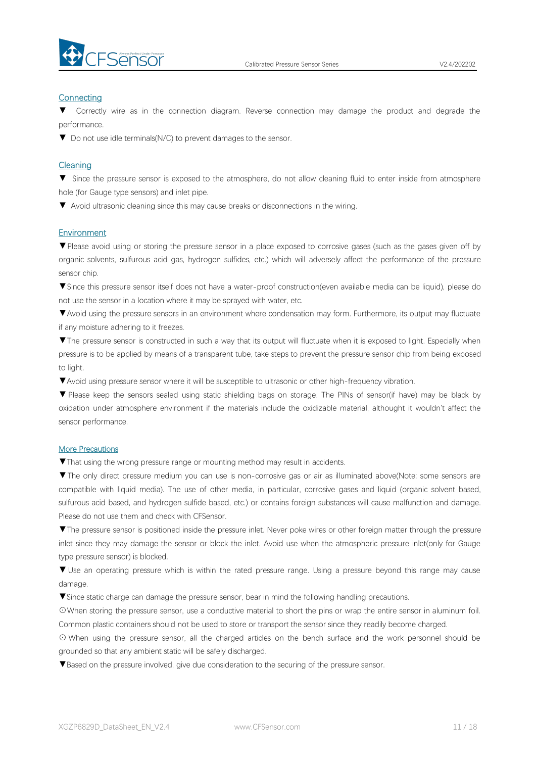

#### **Connecting**

Correctly wire as in the connection diagram. Reverse connection may damage the product and degrade the performance.

▼ Do not use idle terminals(N/C) to prevent damages to the sensor.

#### Cleaning

▼ Since the pressure sensor is exposed to the atmosphere, do not allow cleaning fluid to enter inside from atmosphere hole (for Gauge type sensors) and inlet pipe.

▼ Avoid ultrasonic cleaning since this may cause breaks or disconnections in the wiring.

#### Environment

▼Please avoid using or storing the pressure sensor in a place exposed to corrosive gases (such as the gases given off by organic solvents, sulfurous acid gas, hydrogen sulfides, etc.) which will adversely affect the performance of the pressure sensor chip.

▼Since this pressure sensor itself does not have a water-proof construction(even available media can be liquid), please do not use the sensor in alocation where it may be sprayed with water, etc.

▼Avoid using the pressure sensors in an environment where condensation may form. Furthermore, its output may fluctuate if any moisture adhering to it freezes.

▼The pressure sensor is constructed in such a way that its output will fluctuate when it is exposed to light. Especially when pressure is to be applied by means of a transparent tube, take steps to prevent the pressure sensor chip from being exposed to light.

▼Avoid using pressure sensor where it will be susceptible to ultrasonic or other high-frequency vibration.

▼ Please keep the sensors sealed using static shielding bags on storage. The PINs of sensor(if have) may be black by oxidation under atmosphere environment if the materials include the oxidizable material, althought it wouldn't affect the sensor performance.

#### More Precautions

▼That using the wrong pressure range or mounting method mayresult in accidents.

▼The only direct pressure medium you can use is non-corrosive gas or air as illuminated above(Note: some sensors are compatible with liquid media). The use of other media, in particular, corrosive gases and liquid (organic solvent based, sulfurous acid based, and hydrogen sulfide based, etc.) or contains foreign substances will cause malfunction and damage.<br>Please do not use them and check with CFSensor.

▼The pressure sensor is positioned inside the pressure inlet. Never poke wires orother foreign matter through the pressure inlet since they may damage the sensor or block the inlet. Avoid use when the atmospheric pressure inlet(only for Gauge type pressure sensor) is blocked.

▼ Use an operating pressure which is within the rated pressure range. Using a pressure beyond this range may cause damage.

▼Since static charge can damage the pressure sensor, bear in mind the following handling precautions.

☉When storing the pressure sensor, use a conductive material to short the pins or wrap the entire sensor in aluminum foil. Common plastic containers should not be used to store or transport the sensor since they readily become charged.

⊙ When using the pressure sensor, all the charged articles on the bench surface and the work personnel should be grounded so that any ambient static will be safely discharged.

▼Based on the pressure involved, give due consideration to the securing of the pressure sensor.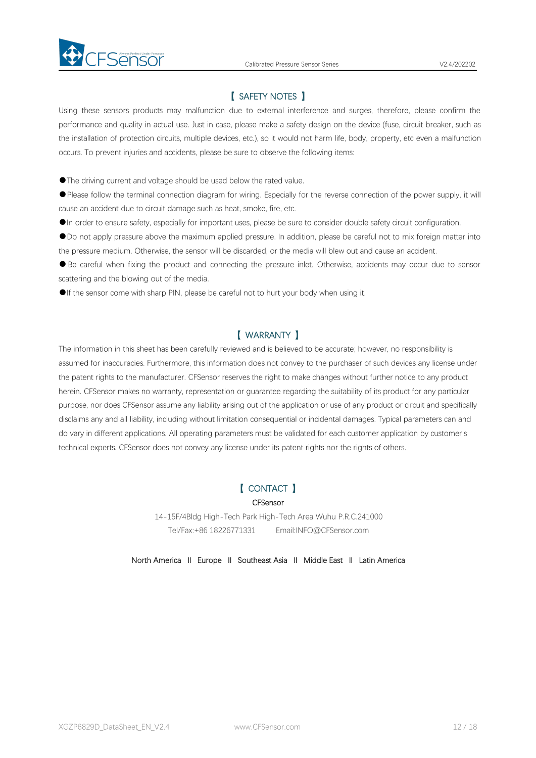

# 【 SAFETY NOTES 】

Using these sensors products may malfunction due to external interference and surges, therefore, please confirm the performance and quality in actual use. Just in case, please make a safety design on the device (fuse, circuit breaker, such as the installation of protection circuits, multiple devices, etc.), so it would not harm life, body, property, etc even amalfunction occurs. To prevent injuries and accidents, please be sure to observe the following items:

●The driving current and voltage should be used below the rated value.

●Please follow the terminal connection diagram for wiring. Especially for the reverse connection of the power supply, it will cause an accident due to circuit damage such as heat, smoke, fire, etc.

●In order to ensure safety, especially for important uses, please be sure to consider double safety circuit configuration.

●Do not apply pressure above the maximum applied pressure. In addition, please be careful not to mix foreign matter into

the pressure medium. Otherwise, the sensor will be discarded, or the media will blew out and cause an accident.<br>• Be careful when fixing the product and connecting the pressure inlet. Otherwise, accidents may occur due to scattering and the blowing out of the media.

●If the sensor come with sharp PIN, please be careful not to hurt your body when using it.

# 【 WARRANTY 】

The information in this sheet has been carefully reviewed and is believed to be accurate; however, no responsibility is assumed for inaccuracies. Furthermore, this information does not convey to the purchaser of such devices any license under the patent rights to the manufacturer. CFSensor reserves the right to make changes without further notice to any product herein. CFSensor makes no warranty, representation or guarantee regarding the suitability of its product for any particular purpose, nor does CFSensor assume any liability arising out of the application or use of any product or circuit and specifically disclaims any and all liability, including without limitation consequential or incidental damages. Typical parameters can and do varyin different applications. All operating parameters must be validated for each customer application by customer's technical experts. CFSensor does not convey any license under its patent rights nor the rights of others.

# 【 CONTACT 】

#### **CFSensor**

14-15F/4Bldg High-Tech Park High-Tech Area Wuhu P.R.C.241000 Tel/Fax:+86 18226771331 Email:INFO@CFSensor.com

North America Ⅱ Europe Ⅱ Southeast Asia Ⅱ Middle East Ⅱ Latin America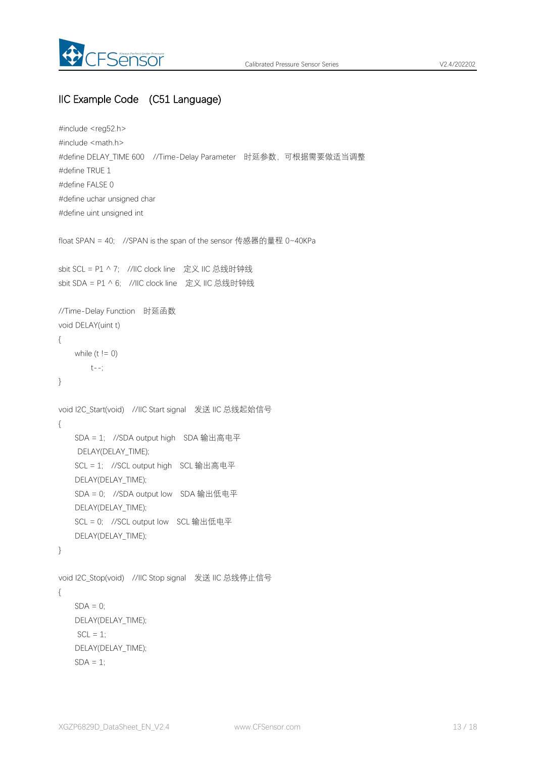

# IIC Example Code (C51 Language)

```
#include <reg52.h>
#include <math.h>
#define DELAY_TIME 600 //Time-Delay Parameter 时延参数,可根据需要做适当调整
#define TRUE 1
#define FALSE 0
#define uchar unsigned char
#define uint unsigned int
float SPAN = 40; //SPAN is the span of the sensor 传感器的量程 0~40KPa
sbit SCL = P1 ^ 7; //IIC clock line 定义 IIC 总线时钟线
sbit SDA = P1 ^ 6; //IIC clock line 定义 IIC 总线时钟线
//Time-Delay Function 时延函数
void DELAY(uint t)
{
   while (t != 0)t--;
}
void I2C_Start(void) //IIC Start signal 发送 IIC 总线起始信号
{
   SDA = 1; //SDA output high SDA 输出高电平
    DELAY(DELAY_TIME);
   SCL = 1; //SCL output high SCL 输出高电平
   DELAY(DELAY_TIME);
   SDA = 0; //SDA output low SDA 输出低电平
   DELAY(DELAY_TIME);
   SCL = 0; //SCL output low SCL 输出低电平
   DELAY(DELAY_TIME);
}
void I2C_Stop(void) //IIC Stop signal 发送 IIC 总线停止信号
{
   SDA = 0;
   DELAY(DELAY_TIME);
    SCL = 1;
   DELAY(DELAY_TIME);
   SDA = 1:
```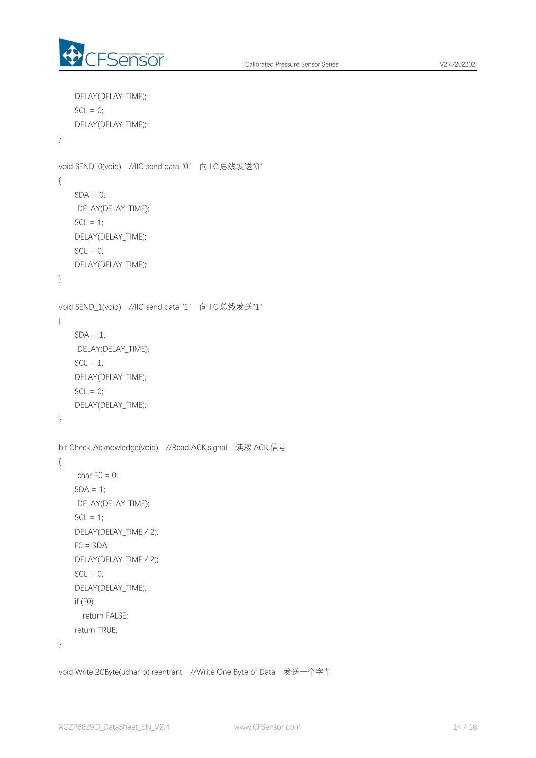

```
DELAY(DELAY_TIME);
   SCL = 0;
   DELAY(DELAY_TIME);
}
void SEND_0(void) //IIC send data "0" 向 IIC 总线发送"0"
{
   SDA = 0;
    DELAY(DELAY_TIME);
   SCL = 1;
   DELAY(DELAY_TIME);
   SCL = 0;DELAY(DELAY_TIME);
}
void SEND_1(void) //IIC send data "1" 向 IIC 总线发送"1"
{
   SDA = 1;
    DELAY(DELAY_TIME);
   SCL = 1;
   DELAY(DELAY_TIME);
   SCL = 0;
   DELAY(DELAY_TIME);
}
bit Check_Acknowledge(void) //Read ACK signal 读取 ACK 信号
{
    char F0 = 0;
    SDA = 1;
    DELAY(DELAY_TIME);
   SCL = 1;
   DELAY(DELAY_TIME / 2);
   FO = SDA;
   DELAY(DELAY_TIME / 2);
   SCL = 0;DELAY(DELAY_TIME);
   if (F0)
     return FALSE;
   return TRUE;
}
```
void WriteI2CByte(uchar b) reentrant //Write One Byte of Data 发送一个字节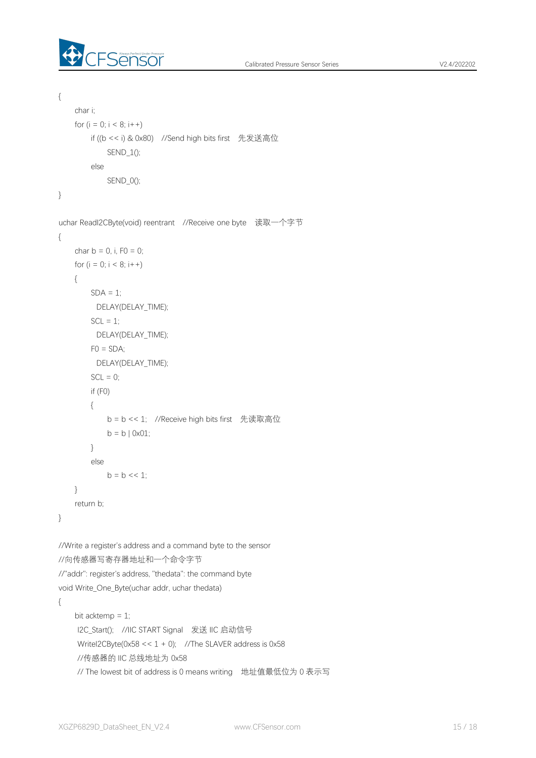

```
{
    char i;
   for (i = 0; i < 8; i++)if ((b \le i) \& 0x80) //Send high bits first 先发送高位
            SEND_1();
        else
           SEND_0();
}
uchar ReadI2CByte(void) reentrant //Receive one byte 读取一个字节
{
   char b = 0, i, F0 = 0;
   for (i = 0; i < 8; i++){
        SDA = 1;
         DELAY(DELAY_TIME);
        SCL = 1;
         DELAY(DELAY_TIME);
       FO = SDA;
         DELAY(DELAY_TIME);
       SCL = 0;
       if (F0)
       {
           b = b << 1; //Receive high bits first 先读取高位
           b = b | 0x01;}
        else
           b = b \ll 1;
    }
   return b;
}
//Write a register's address and a command byte to the sensor
//向传感器写寄存器地址和一个命令字节
//"addr": register's address, "thedata": the command byte
void Write_One_Byte(uchar addr, uchar thedata)
{
    bit acktemp = 1;
    I2C_Start(); //IIC START Signal 发送 IIC 启动信号
    WriteI2CByte(0x58 << 1 + 0); //The SLAVER address is 0x58
    //传感器的 IIC 总线地址为 0x58
    // The lowest bit of address is 0 means writing 地址值最低位为 0 表示写
```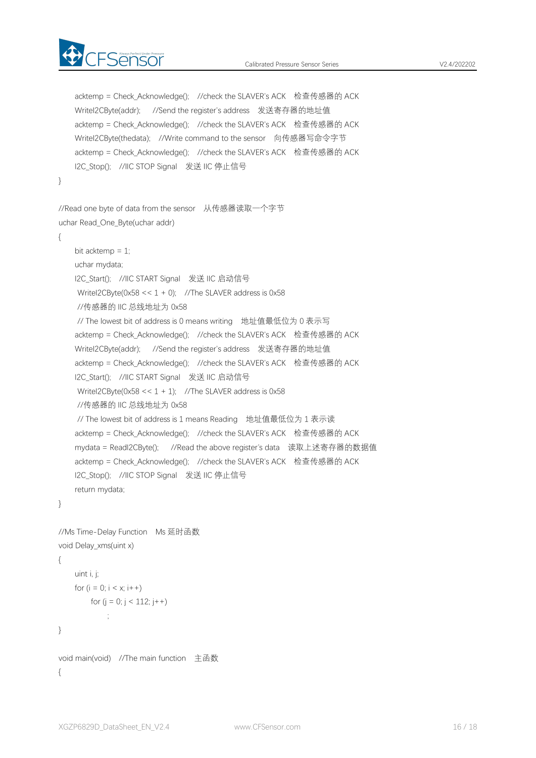

```
acktemp = Check Acknowledge(); //check the SLAVER's ACK 检查传感器的 ACK
   WriteI2CByte(addr); //Send the register's address 发送寄存器的地址值
   acktemp = Check Acknowledge(); //check the SLAVER's ACK 检查传感器的 ACK
   WriteI2CByte(thedata); //Write command to the sensor 向传感器写命令字节
   acktemp = Check_Acknowledge(); //check the SLAVER's ACK 检查传感器的 ACK
   I2C_Stop(); //IIC_STOP Signal 发送 IIC 停止信号
}
//Read one byte of data from the sensor 从传感器读取一个字节
uchar Read_One_Byte(uchar addr)
{
   bit acktemp = 1;
   uchar mydata;
   I2C_Start(); //IIC START Signal 发送 IIC 启动信号
    WriteI2CByte(0x58 < 1 + 0); //The SLAVER address is 0x58//传感器的 IIC 总线地址为 0x58
    // The lowest bit of address is 0 means writing 地址值最低位为 0 表示写
   acktemp = Check Acknowledge(); //check the SLAVER's ACK 检查传感器的 ACK
   WriteI2CByte(addr); //Send the register's address 发送寄存器的地址值
   acktemp = Check_Acknowledge(); //check the SLAVER's ACK 检查传感器的 ACK
   I2C_Start(); //IIC START Signal 发送 IIC 启动信号
    WriteI2CByte(0x58 \le 1 + 1); //The SLAVER address is 0x58//传感器的 IIC 总线地址为 0x58
    // The lowest bit of address is 1 means Reading 地址值最低位为 1 表示读
   acktemp = Check_Acknowledge(); //check the SLAVER's ACK 检查传感器的 ACK
   mydata = ReadI2CByte(); //Read the above register's data 读取上述寄存器的数据值
   acktemp = Check Acknowledge(); //check the SLAVER's ACK 检查传感器的 ACK
   I2C_Stop(); //IIC STOP Signal 发送 IIC 停止信号
   return mydata;
}
//Ms Time-Delay Function Ms 延时函数
void Delay_xms(uint x)
{
   uint i, j;
   for (i = 0; i < x; i++)for (i = 0; j < 112; j++)\frac{1}{2}}
```

```
void main(void) //The main function 主函数
{
```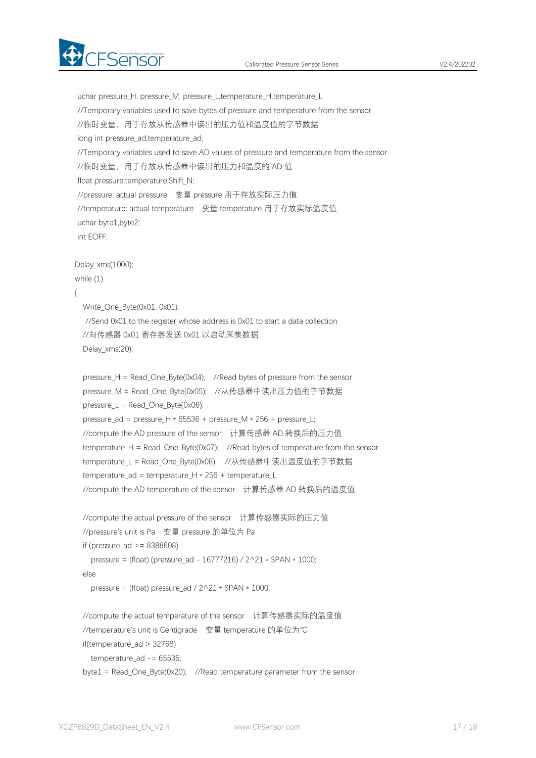

uchar pressure H, pressure M, pressure L,temperature H,temperature L; //Temporary variables used to save bytes of pressure and temperature from the sensor //临时变量,用于存放从传感器中读出的压力值和温度值的字节数据 long int pressure ad,temperature ad; //Temporary variables used to save AD values of pressure and temperature from the sensor //临时变量,用于存放从传感器中读出的压力和温度的 AD 值 float pressure,temperature,Shift\_N; //pressure: actual pressure 变量 pressure 用于存放实际压力值 //temperature: actual temperature 变量 temperature 用于存放实际温度值 uchar byte1,byte2; int EOFF; Delay\_xms(1000); while (1) { Write\_One\_Byte(0x01, 0x01); //Send 0x01 to the register whose address is 0x01 to start a data collection //向传感器 0x01 寄存器发送 0x01 以启动采集数据 Delay\_xms(20); pressure\_H = Read\_One\_Byte(0x04); //Read bytes of pressure from the sensor pressure M = Read One Byte(0x05); //从传感器中读出压力值的字节数据 pressure\_L = Read\_One\_Byte(0x06); pressure ad = pressure H  $*$  65536 + pressure M  $*$  256 + pressure L; //compute the AD pressure of the sensor 计算传感器 AD 转换后的压力值 temperature\_H = Read\_One\_Byte(0x07); //Read bytes of temperature from the sensor temperature L = Read One Byte(0x08); //从传感器中读出温度值的字节数据 temperature\_ad = temperature\_H \* 256 + temperature\_L; //compute the AD temperature of the sensor 计算传感器 AD 转换后的温度值 //compute the actual pressure of the sensor 计算传感器实际的压力值 //pressure's unit is Pa 变量 pressure 的单位为 Pa if (pressure  $ad \ge 8388608$ ) pressure = (float) (pressure\_ad - 16777216) / 2^21 \* SPAN \* 1000; else pressure = (float) pressure\_ad /  $2^221 * SPAN * 1000$ ; //compute the actual temperature of the sensor 计算传感器实际的温度值 //temperature's unit is Centigrade 变量 temperature 的单位为℃ if(temperature\_ad > 32768) temperature\_ad -= 65536; byte1 = Read One Byte(0x20); //Read temperature parameter from the sensor